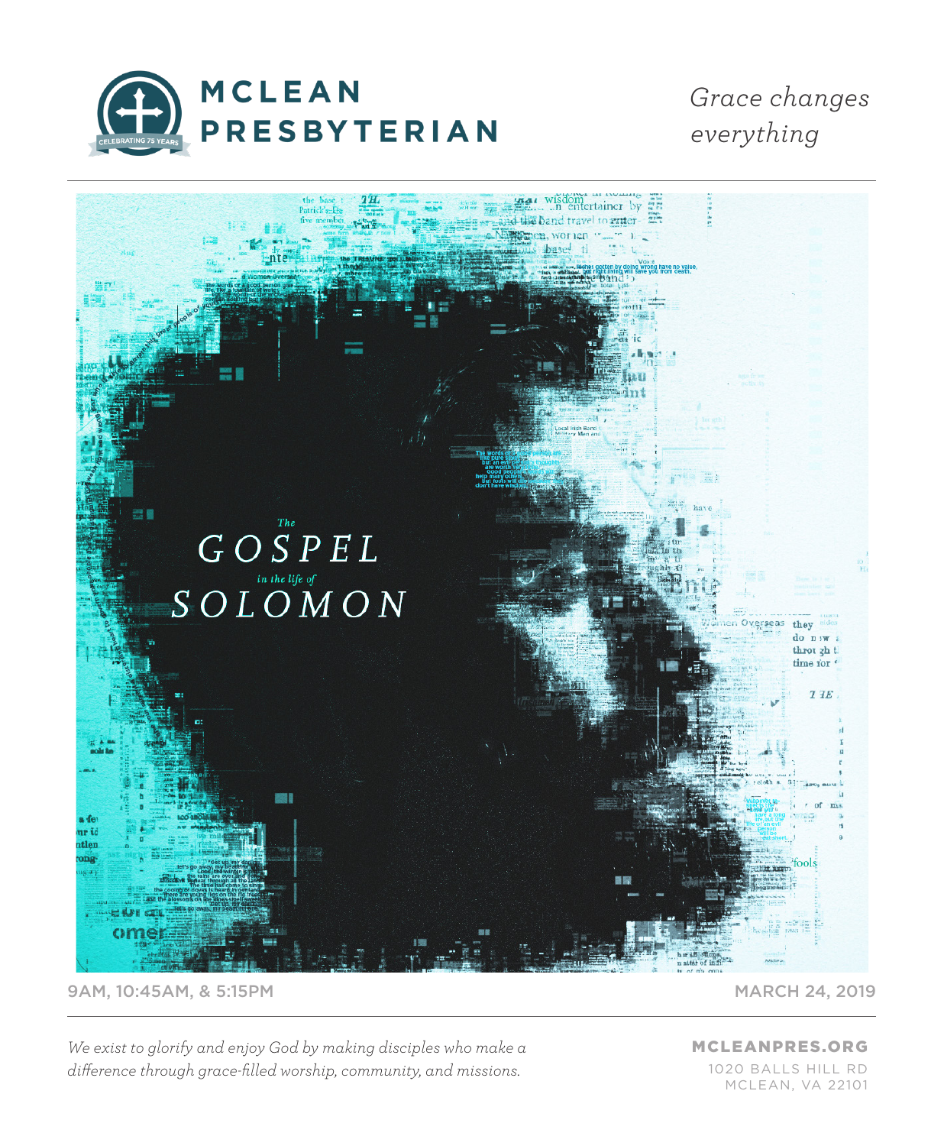

*Grace changes everything*



9AM, 10:45AM, & 5:15PM MARCH 24, 2019

*We exist to glorify and enjoy God by making disciples who make a difference through grace-filled worship, community, and missions.*

MCLEANPRES.ORG 1020 BALLS HILL RD

MCLEAN, VA 22101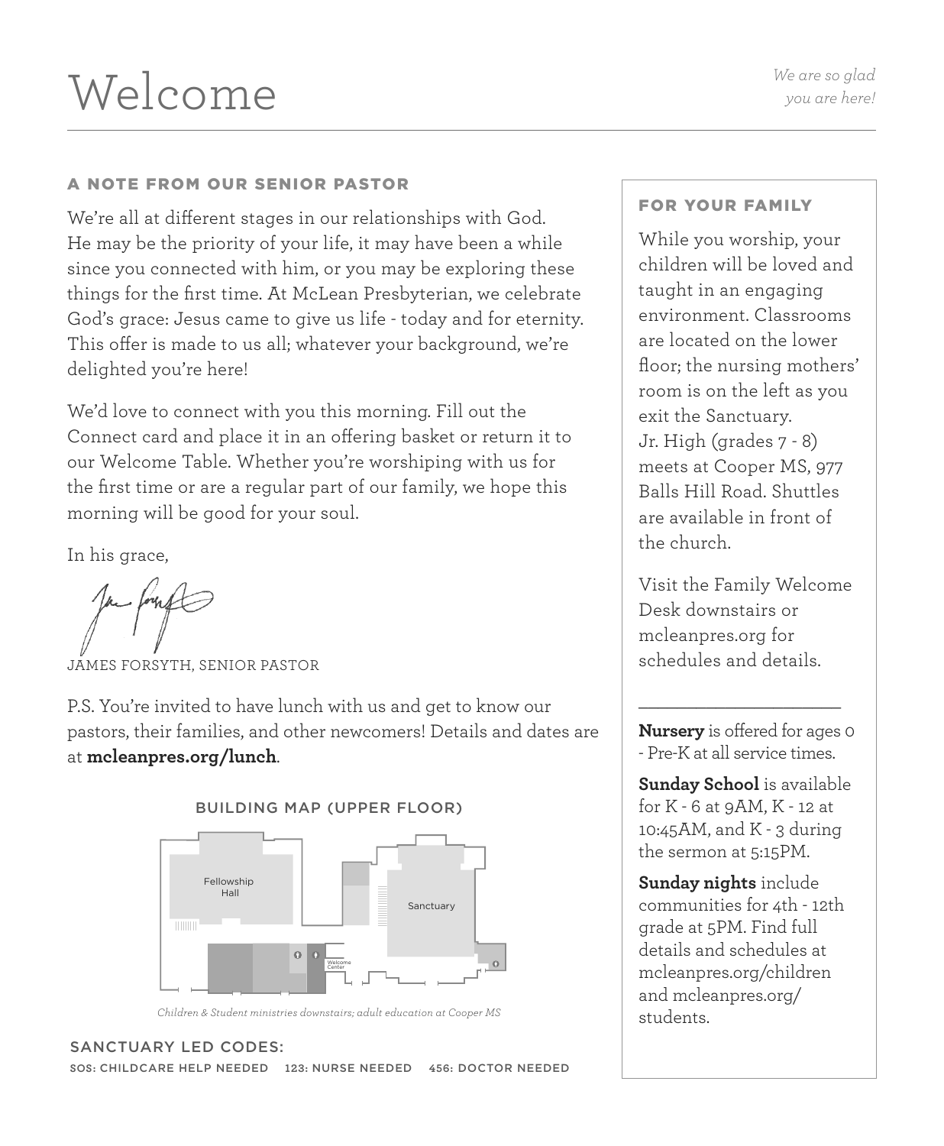# Welcome

#### A NOTE FROM OUR SENIOR PASTOR

We're all at different stages in our relationships with God. He may be the priority of your life, it may have been a while since you connected with him, or you may be exploring these things for the first time. At McLean Presbyterian, we celebrate God's grace: Jesus came to give us life - today and for eternity. This offer is made to us all; whatever your background, we're delighted you're here!

We'd love to connect with you this morning. Fill out the Connect card and place it in an offering basket or return it to our Welcome Table. Whether you're worshiping with us for the first time or are a regular part of our family, we hope this morning will be good for your soul.

In his grace,

JAMES FORSYTH, SENIOR PASTOR

P.S. You're invited to have lunch with us and get to know our pastors, their families, and other newcomers! Details and dates are at **mcleanpres.org/lunch**.



BUILDING MAP (UPPER FLOOR)

### SANCTUARY LED CODES:

**SOS:** CHILDCARE HELP NEEDED **123:** NURSE NEEDED **456:** DOCTOR NEEDED

#### FOR YOUR FAMILY

While you worship, your children will be loved and taught in an engaging environment. Classrooms are located on the lower floor; the nursing mothers' room is on the left as you exit the Sanctuary. Jr. High (grades 7 - 8) meets at Cooper MS, 977 Balls Hill Road. Shuttles are available in front of the church.

Visit the Family Welcome Desk downstairs or mcleanpres.org for schedules and details.

**Nursery** is offered for ages 0 - Pre-K at all service times.

\_\_\_\_\_\_\_\_\_\_\_\_\_\_\_\_\_\_\_\_\_

**Sunday School** is available for K - 6 at 9AM, K - 12 at 10:45AM, and K - 3 during the sermon at 5:15PM.

**Sunday nights** include communities for 4th - 12th grade at 5PM. Find full details and schedules at mcleanpres.org/children and mcleanpres.org/ students.

*Children & Student ministries downstairs; adult education at Cooper MS*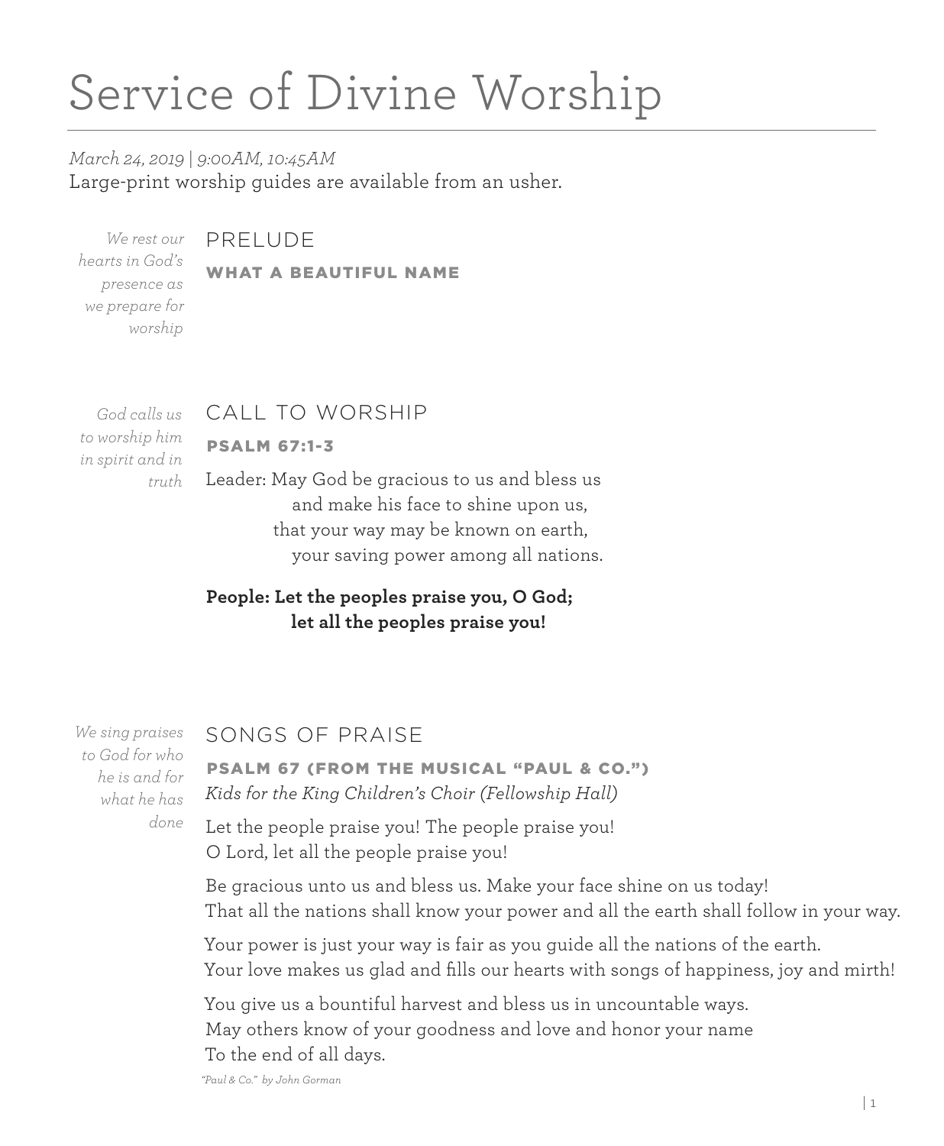# Service of Divine Worship

### *March 24, 2019 | 9:00AM, 10:45AM* Large-print worship guides are available from an usher.

*We rest our hearts in God's presence as we prepare for worship* 

# PRELUDE

#### WHAT A BEAUTIFUL NAME

*God calls us to worship him in spirit and in truth*

PSALM 67:1-3

CALL TO WORSHIP

Leader: May God be gracious to us and bless us and make his face to shine upon us, that your way may be known on earth, your saving power among all nations.

### **People: Let the peoples praise you, O God; let all the peoples praise you!**

*We sing praises to God for who he is and for what he has done*

SONGS OF PRAISE PSALM 67 (FROM THE MUSICAL "PAUL & CO.") *Kids for the King Children's Choir (Fellowship Hall)*

Let the people praise you! The people praise you! O Lord, let all the people praise you!

Be gracious unto us and bless us. Make your face shine on us today! That all the nations shall know your power and all the earth shall follow in your way.

Your power is just your way is fair as you guide all the nations of the earth. Your love makes us glad and fills our hearts with songs of happiness, joy and mirth!

You give us a bountiful harvest and bless us in uncountable ways. May others know of your goodness and love and honor your name To the end of all days.

*"Paul & Co." by John Gorman*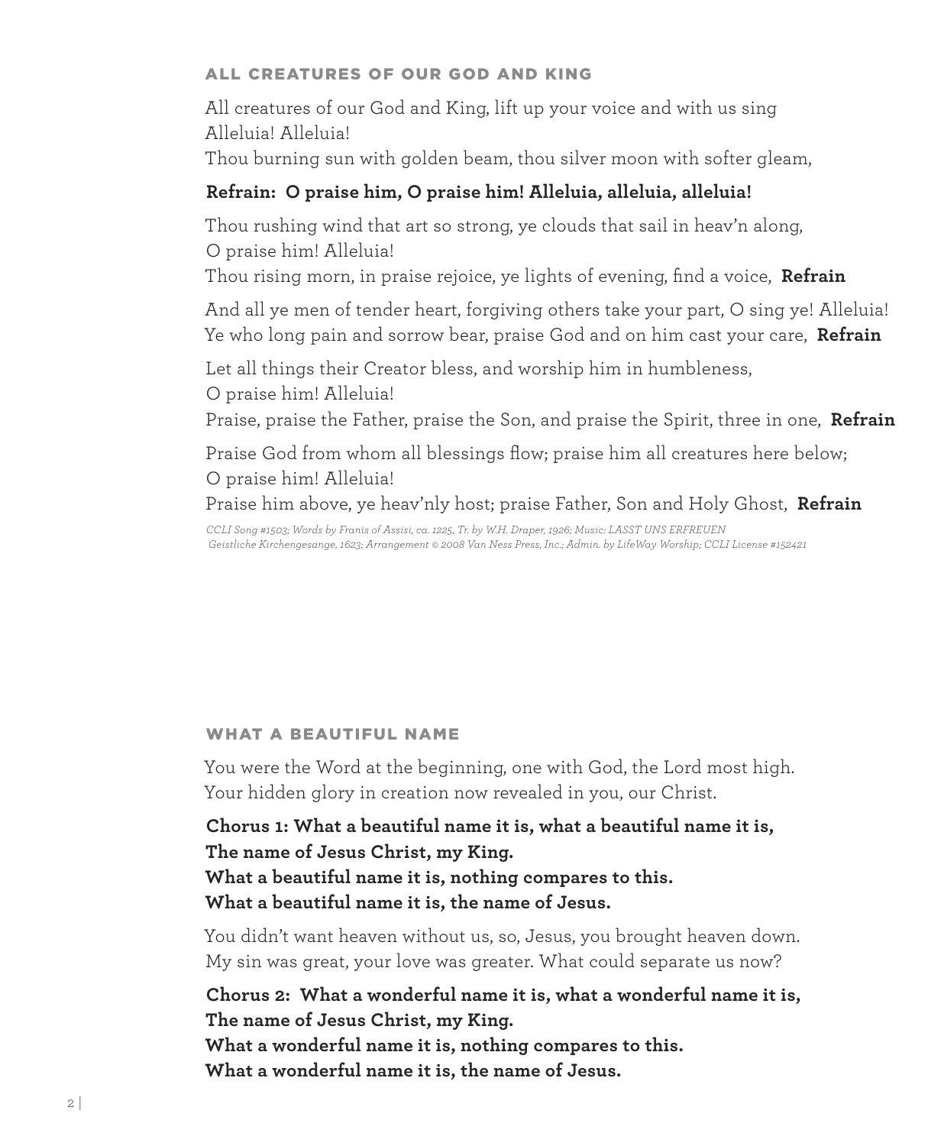#### ALL CREATURES OF OUR GOD AND KING

All creatures of our God and King, lift up your voice and with us sing Alleluia! Alleluia!

Thou burning sun with golden beam, thou silver moon with softer gleam,

#### **Refrain: O praise him, O praise him! Alleluia, alleluia, alleluia!**

Thou rushing wind that art so strong, ye clouds that sail in heav'n along, O praise him! Alleluia!

Thou rising morn, in praise rejoice, ye lights of evening, find a voice, **Refrain**

And all ye men of tender heart, forgiving others take your part, O sing ye! Alleluia! Ye who long pain and sorrow bear, praise God and on him cast your care, **Refrain**

Let all things their Creator bless, and worship him in humbleness,

O praise him! Alleluia!

Praise, praise the Father, praise the Son, and praise the Spirit, three in one, **Refrain**

Praise God from whom all blessings flow; praise him all creatures here below; O praise him! Alleluia!

Praise him above, ye heav'nly host; praise Father, Son and Holy Ghost, **Refrain**

*CCLI Song #1503; Words by Franis of Assisi, ca. 1225, Tr. by W.H. Draper, 1926; Music: LASST UNS ERFREUEN Geistliche Kirchengesange, 1623; Arrangement © 2008 Van Ness Press, Inc.; Admin. by LifeWay Worship; CCLI License #152421*

#### WHAT A BEAUTIFUL NAME

You were the Word at the beginning, one with God, the Lord most high. Your hidden glory in creation now revealed in you, our Christ.

**Chorus 1: What a beautiful name it is, what a beautiful name it is, The name of Jesus Christ, my King. What a beautiful name it is, nothing compares to this. What a beautiful name it is, the name of Jesus.**

You didn't want heaven without us, so, Jesus, you brought heaven down. My sin was great, your love was greater. What could separate us now?

**Chorus 2: What a wonderful name it is, what a wonderful name it is, The name of Jesus Christ, my King. What a wonderful name it is, nothing compares to this. What a wonderful name it is, the name of Jesus.**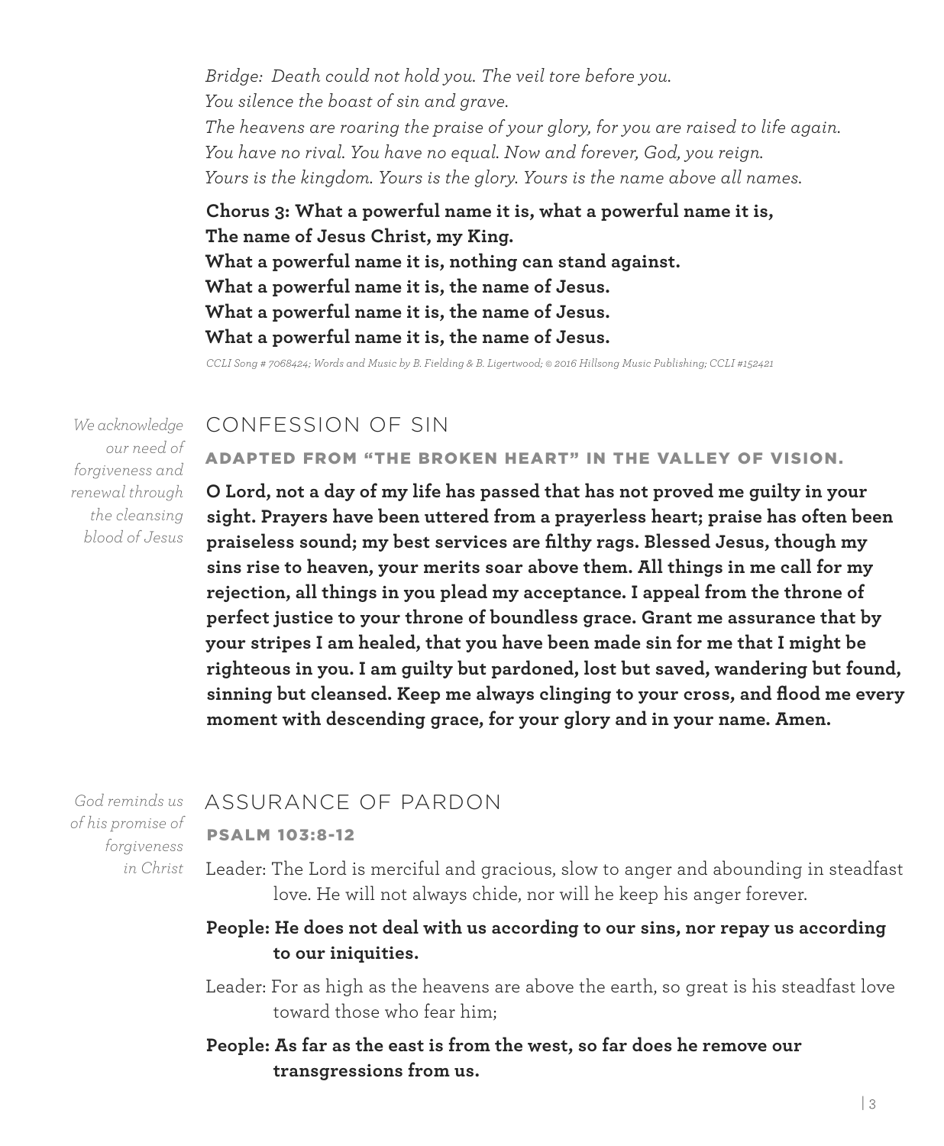*Bridge: Death could not hold you. The veil tore before you. You silence the boast of sin and grave. The heavens are roaring the praise of your glory, for you are raised to life again. You have no rival. You have no equal. Now and forever, God, you reign. Yours is the kingdom. Yours is the glory. Yours is the name above all names.*

**Chorus 3: What a powerful name it is, what a powerful name it is, The name of Jesus Christ, my King. What a powerful name it is, nothing can stand against. What a powerful name it is, the name of Jesus. What a powerful name it is, the name of Jesus. What a powerful name it is, the name of Jesus.**

*CCLI Song # 7068424; Words and Music by B. Fielding & B. Ligertwood; © 2016 Hillsong Music Publishing; CCLI #152421*

*We acknowledge our need of forgiveness and renewal through the cleansing blood of Jesus* 

#### CONFESSION OF SIN

#### ADAPTED FROM "THE BROKEN HEART" IN THE VALLEY OF VISION.

**O Lord, not a day of my life has passed that has not proved me guilty in your sight. Prayers have been uttered from a prayerless heart; praise has often been praiseless sound; my best services are filthy rags. Blessed Jesus, though my sins rise to heaven, your merits soar above them. All things in me call for my rejection, all things in you plead my acceptance. I appeal from the throne of perfect justice to your throne of boundless grace. Grant me assurance that by your stripes I am healed, that you have been made sin for me that I might be righteous in you. I am guilty but pardoned, lost but saved, wandering but found, sinning but cleansed. Keep me always clinging to your cross, and flood me every moment with descending grace, for your glory and in your name. Amen.**

*God reminds us of his promise of forgiveness in Christ*

#### ASSURANCE OF PARDON

PSALM 103:8-12

Leader: The Lord is merciful and gracious, slow to anger and abounding in steadfast love. He will not always chide, nor will he keep his anger forever.

#### **People: He does not deal with us according to our sins, nor repay us according to our iniquities.**

Leader: For as high as the heavens are above the earth, so great is his steadfast love toward those who fear him;

**People: As far as the east is from the west, so far does he remove our transgressions from us.**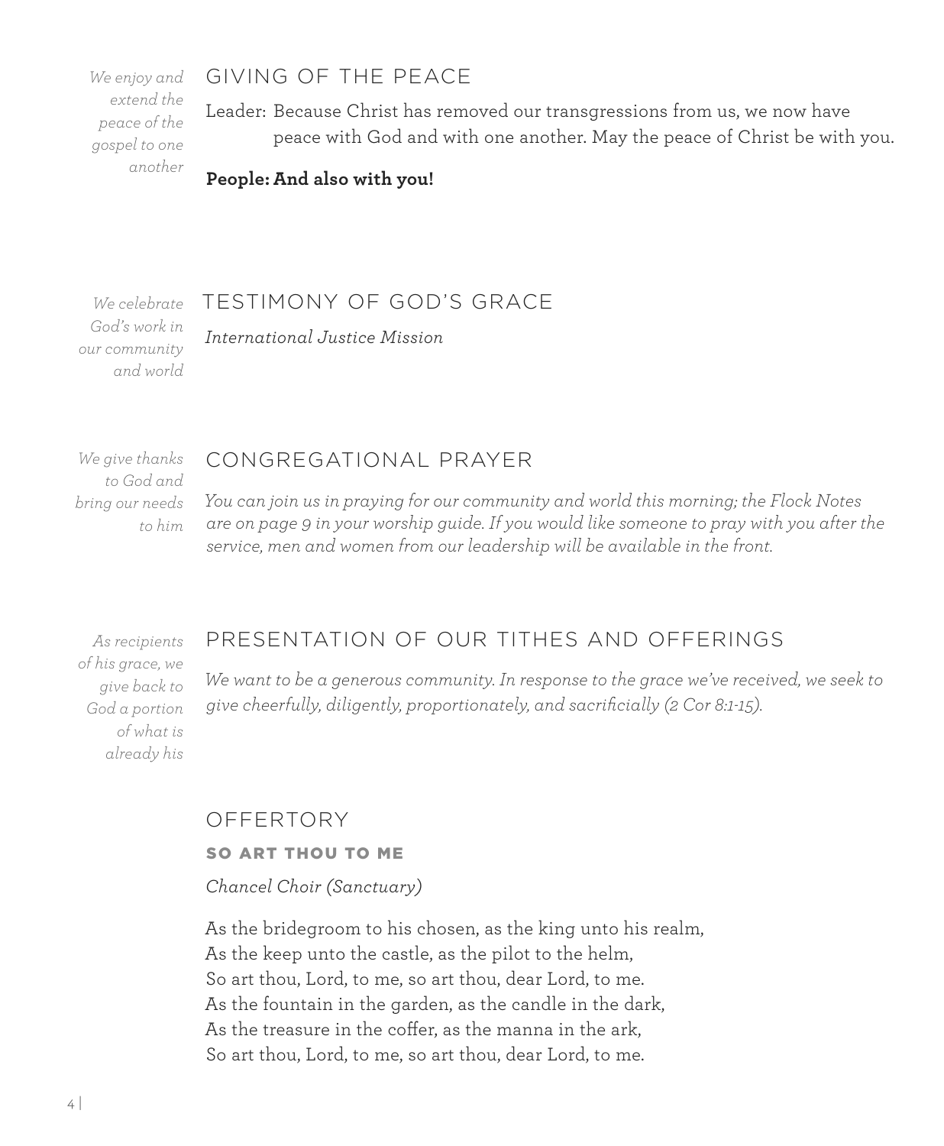# GIVING OF THE PEACE

*We enjoy and extend the peace of the gospel to one another*

Leader: Because Christ has removed our transgressions from us, we now have peace with God and with one another. May the peace of Christ be with you.

#### **People:And also with you!**

*We celebrate God's work in our community and world*

# TESTIMONY OF GOD'S GRACE

*International Justice Mission*

*We give thanks to God and bring our needs to him*

# CONGREGATIONAL PRAYER

*You can join us in praying for our community and world this morning; the Flock Notes are on page 9 in your worship guide. If you would like someone to pray with you after the service, men and women from our leadership will be available in the front.*

*As recipients of his grace, we give back to God a portion of what is already his*

# PRESENTATION OF OUR TITHES AND OFFERINGS

*We want to be a generous community. In response to the grace we've received, we seek to give cheerfully, diligently, proportionately, and sacrificially (2 Cor 8:1-15).* 

OFFERTORY SO ART THOU TO ME *Chancel Choir (Sanctuary)*

As the bridegroom to his chosen, as the king unto his realm, As the keep unto the castle, as the pilot to the helm, So art thou, Lord, to me, so art thou, dear Lord, to me. As the fountain in the garden, as the candle in the dark, As the treasure in the coffer, as the manna in the ark, So art thou, Lord, to me, so art thou, dear Lord, to me.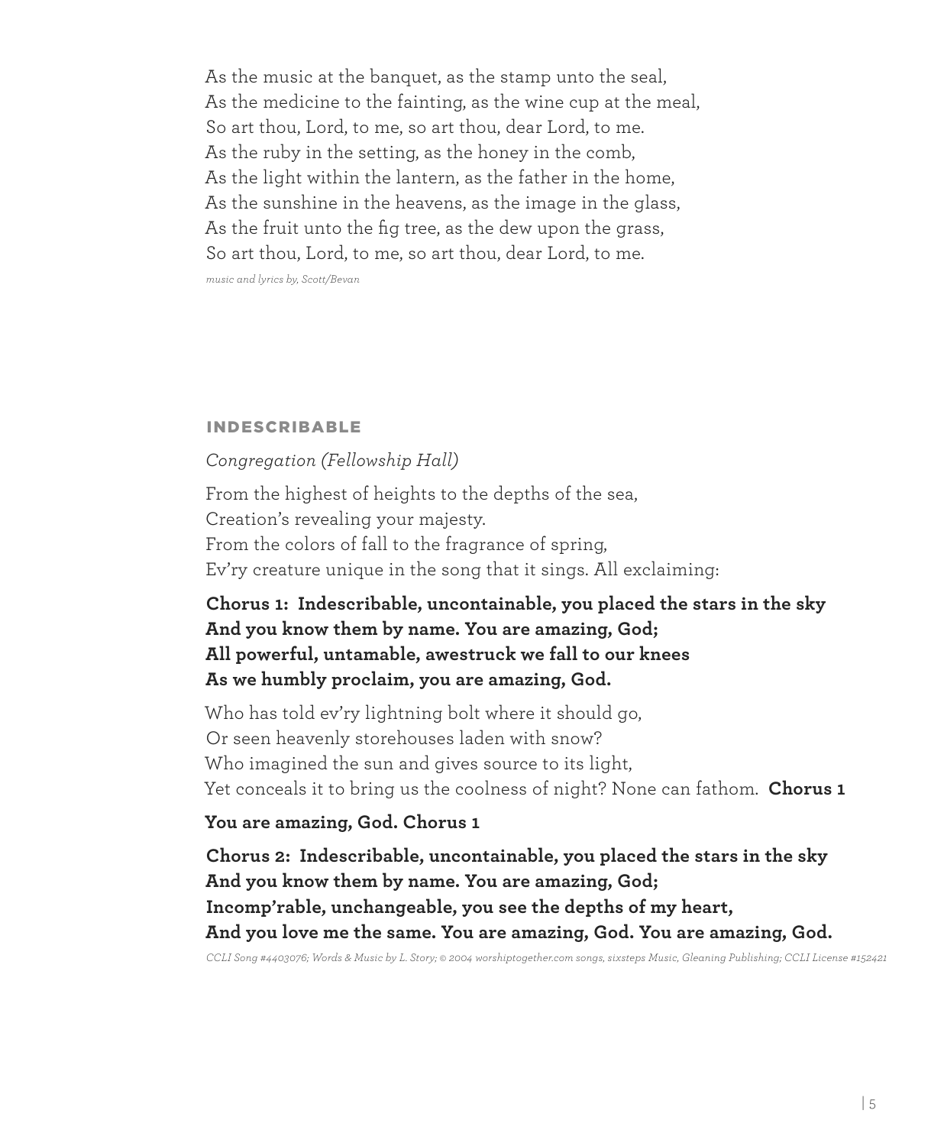As the music at the banquet, as the stamp unto the seal, As the medicine to the fainting, as the wine cup at the meal, So art thou, Lord, to me, so art thou, dear Lord, to me. As the ruby in the setting, as the honey in the comb, As the light within the lantern, as the father in the home, As the sunshine in the heavens, as the image in the glass, As the fruit unto the fig tree, as the dew upon the grass, So art thou, Lord, to me, so art thou, dear Lord, to me.

*music and lyrics by, Scott/Bevan*

#### INDESCRIBABLE

#### *Congregation (Fellowship Hall)*

From the highest of heights to the depths of the sea, Creation's revealing your majesty. From the colors of fall to the fragrance of spring, Ev'ry creature unique in the song that it sings. All exclaiming:

## **Chorus 1: Indescribable, uncontainable, you placed the stars in the sky And you know them by name. You are amazing, God; All powerful, untamable, awestruck we fall to our knees As we humbly proclaim, you are amazing, God.**

Who has told ev'ry lightning bolt where it should go, Or seen heavenly storehouses laden with snow? Who imagined the sun and gives source to its light, Yet conceals it to bring us the coolness of night? None can fathom. **Chorus 1**

#### **You are amazing, God. Chorus 1**

**Chorus 2: Indescribable, uncontainable, you placed the stars in the sky And you know them by name. You are amazing, God; Incomp'rable, unchangeable, you see the depths of my heart, And you love me the same. You are amazing, God. You are amazing, God.**

*CCLI Song #4403076; Words & Music by L. Story; © 2004 worshiptogether.com songs, sixsteps Music, Gleaning Publishing; CCLI License #152421*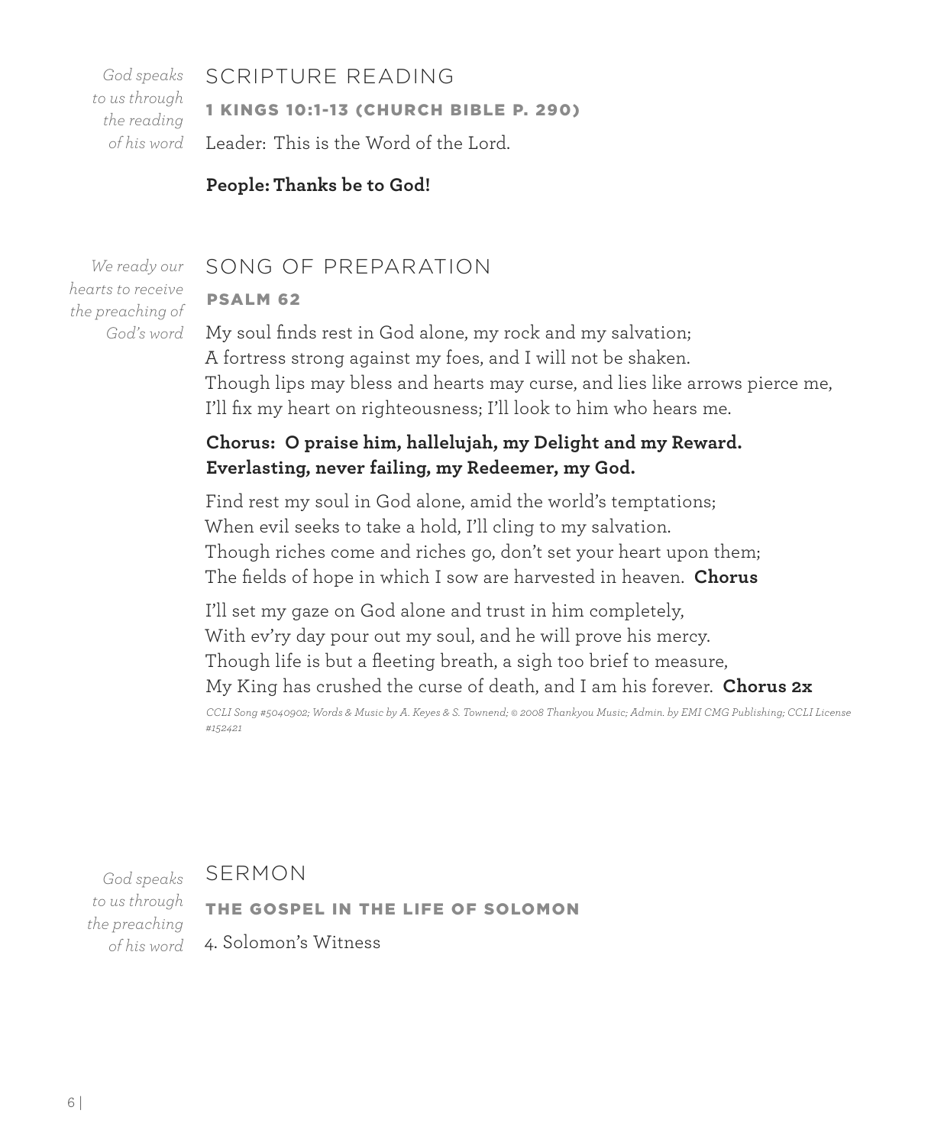*God speaks to us through the reading of his word* SCRIPTURE READING

1 KINGS 10:1-13 (CHURCH BIBLE P. 290)

Leader: This is the Word of the Lord.

#### **People: Thanks be to God!**

### SONG OF PREPARATION

*We ready our hearts to receive the preaching of God's word*

PSALM 62

My soul finds rest in God alone, my rock and my salvation; A fortress strong against my foes, and I will not be shaken. Though lips may bless and hearts may curse, and lies like arrows pierce me, I'll fix my heart on righteousness; I'll look to him who hears me.

#### **Chorus: O praise him, hallelujah, my Delight and my Reward. Everlasting, never failing, my Redeemer, my God.**

Find rest my soul in God alone, amid the world's temptations; When evil seeks to take a hold, I'll cling to my salvation. Though riches come and riches go, don't set your heart upon them; The fields of hope in which I sow are harvested in heaven. **Chorus**

I'll set my gaze on God alone and trust in him completely, With ev'ry day pour out my soul, and he will prove his mercy. Though life is but a fleeting breath, a sigh too brief to measure, My King has crushed the curse of death, and I am his forever. **Chorus 2x**

*CCLI Song #5040902; Words & Music by A. Keyes & S. Townend; © 2008 Thankyou Music; Admin. by EMI CMG Publishing; CCLI License #152421*

SERMON *God speaks* 

*to us through* 

THE GOSPEL IN THE LIFE OF SOLOMON

4. Solomon's Witness *the preaching of his word*